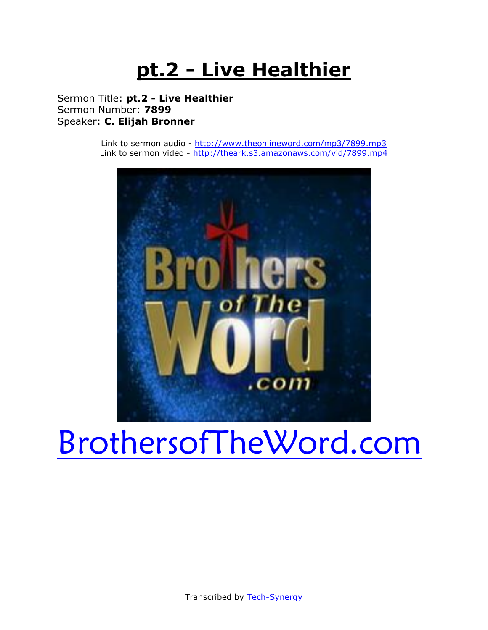# **pt.2 - Live Healthier**

Sermon Title: **pt.2 - Live Healthier** Sermon Number: **7899** Speaker: **C. Elijah Bronner**

> Link to sermon audio - <http://www.theonlineword.com/mp3/7899.mp3> Link to sermon video - <http://theark.s3.amazonaws.com/vid/7899.mp4>



# [BrothersofTheWord.com](http://www.brothersoftheword.com/)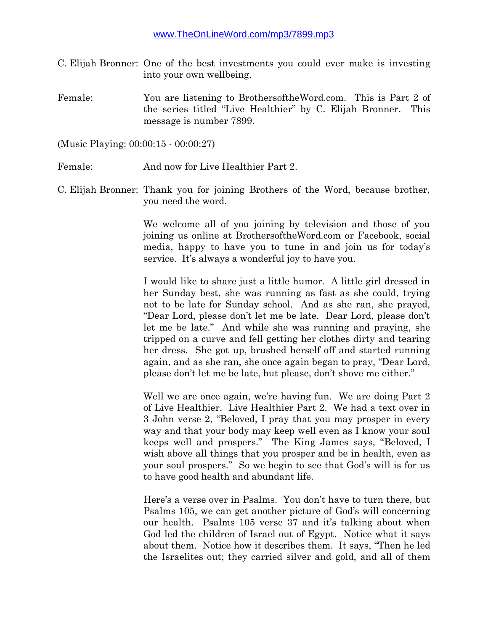- C. Elijah Bronner: One of the best investments you could ever make is investing into your own wellbeing.
- Female: You are listening to BrothersoftheWord.com. This is Part 2 of the series titled "Live Healthier" by C. Elijah Bronner. This message is number 7899.

(Music Playing: 00:00:15 - 00:00:27)

- Female: And now for Live Healthier Part 2.
- C. Elijah Bronner: Thank you for joining Brothers of the Word, because brother, you need the word.

We welcome all of you joining by television and those of you joining us online at BrothersoftheWord.com or Facebook, social media, happy to have you to tune in and join us for today's service. It's always a wonderful joy to have you.

I would like to share just a little humor. A little girl dressed in her Sunday best, she was running as fast as she could, trying not to be late for Sunday school. And as she ran, she prayed, "Dear Lord, please don't let me be late. Dear Lord, please don't let me be late." And while she was running and praying, she tripped on a curve and fell getting her clothes dirty and tearing her dress. She got up, brushed herself off and started running again, and as she ran, she once again began to pray, "Dear Lord, please don't let me be late, but please, don't shove me either."

Well we are once again, we're having fun. We are doing Part 2 of Live Healthier. Live Healthier Part 2. We had a text over in 3 John verse 2, "Beloved, I pray that you may prosper in every way and that your body may keep well even as I know your soul keeps well and prospers." The King James says, "Beloved, I wish above all things that you prosper and be in health, even as your soul prospers." So we begin to see that God's will is for us to have good health and abundant life.

Here's a verse over in Psalms. You don't have to turn there, but Psalms 105, we can get another picture of God's will concerning our health. Psalms 105 verse 37 and it's talking about when God led the children of Israel out of Egypt. Notice what it says about them. Notice how it describes them. It says, "Then he led the Israelites out; they carried silver and gold, and all of them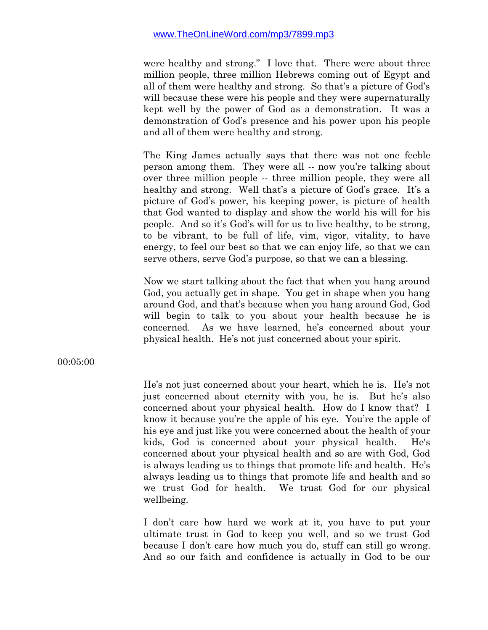were healthy and strong." I love that. There were about three million people, three million Hebrews coming out of Egypt and all of them were healthy and strong. So that's a picture of God's will because these were his people and they were supernaturally kept well by the power of God as a demonstration. It was a demonstration of God's presence and his power upon his people and all of them were healthy and strong.

The King James actually says that there was not one feeble person among them. They were all -- now you're talking about over three million people -- three million people, they were all healthy and strong. Well that's a picture of God's grace. It's a picture of God's power, his keeping power, is picture of health that God wanted to display and show the world his will for his people. And so it's God's will for us to live healthy, to be strong, to be vibrant, to be full of life, vim, vigor, vitality, to have energy, to feel our best so that we can enjoy life, so that we can serve others, serve God's purpose, so that we can a blessing.

Now we start talking about the fact that when you hang around God, you actually get in shape. You get in shape when you hang around God, and that's because when you hang around God, God will begin to talk to you about your health because he is concerned. As we have learned, he's concerned about your physical health. He's not just concerned about your spirit.

00:05:00

He's not just concerned about your heart, which he is. He's not just concerned about eternity with you, he is. But he's also concerned about your physical health. How do I know that? I know it because you're the apple of his eye. You're the apple of his eye and just like you were concerned about the health of your kids, God is concerned about your physical health. He's concerned about your physical health and so are with God, God is always leading us to things that promote life and health. He's always leading us to things that promote life and health and so we trust God for health. We trust God for our physical wellbeing.

I don't care how hard we work at it, you have to put your ultimate trust in God to keep you well, and so we trust God because I don't care how much you do, stuff can still go wrong. And so our faith and confidence is actually in God to be our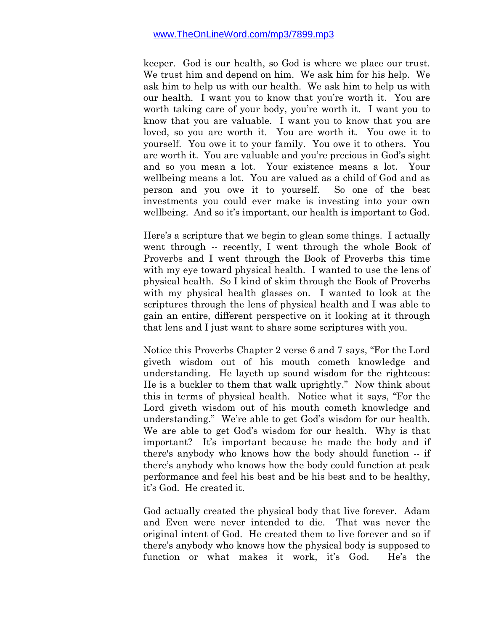keeper. God is our health, so God is where we place our trust. We trust him and depend on him. We ask him for his help. We ask him to help us with our health. We ask him to help us with our health. I want you to know that you're worth it. You are worth taking care of your body, you're worth it. I want you to know that you are valuable. I want you to know that you are loved, so you are worth it. You are worth it. You owe it to yourself. You owe it to your family. You owe it to others. You are worth it. You are valuable and you're precious in God's sight and so you mean a lot. Your existence means a lot. Your wellbeing means a lot. You are valued as a child of God and as person and you owe it to yourself. So one of the best investments you could ever make is investing into your own wellbeing. And so it's important, our health is important to God.

Here's a scripture that we begin to glean some things. I actually went through -- recently, I went through the whole Book of Proverbs and I went through the Book of Proverbs this time with my eye toward physical health. I wanted to use the lens of physical health. So I kind of skim through the Book of Proverbs with my physical health glasses on. I wanted to look at the scriptures through the lens of physical health and I was able to gain an entire, different perspective on it looking at it through that lens and I just want to share some scriptures with you.

Notice this Proverbs Chapter 2 verse 6 and 7 says, "For the Lord giveth wisdom out of his mouth cometh knowledge and understanding. He layeth up sound wisdom for the righteous: He is a buckler to them that walk uprightly." Now think about this in terms of physical health. Notice what it says, "For the Lord giveth wisdom out of his mouth cometh knowledge and understanding." We're able to get God's wisdom for our health. We are able to get God's wisdom for our health. Why is that important? It's important because he made the body and if there's anybody who knows how the body should function -- if there's anybody who knows how the body could function at peak performance and feel his best and be his best and to be healthy, it's God. He created it.

God actually created the physical body that live forever. Adam and Even were never intended to die. That was never the original intent of God. He created them to live forever and so if there's anybody who knows how the physical body is supposed to function or what makes it work, it's God. He's the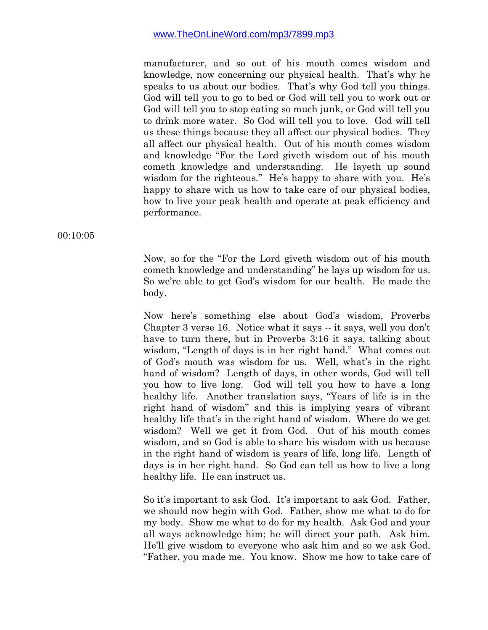manufacturer, and so out of his mouth comes wisdom and knowledge, now concerning our physical health. That's why he speaks to us about our bodies. That's why God tell you things. God will tell you to go to bed or God will tell you to work out or God will tell you to stop eating so much junk, or God will tell you to drink more water. So God will tell you to love. God will tell us these things because they all affect our physical bodies. They all affect our physical health. Out of his mouth comes wisdom and knowledge "For the Lord giveth wisdom out of his mouth cometh knowledge and understanding. He layeth up sound wisdom for the righteous." He's happy to share with you. He's happy to share with us how to take care of our physical bodies, how to live your peak health and operate at peak efficiency and performance.

00:10:05

Now, so for the "For the Lord giveth wisdom out of his mouth cometh knowledge and understanding" he lays up wisdom for us. So we're able to get God's wisdom for our health. He made the body.

Now here's something else about God's wisdom, Proverbs Chapter 3 verse 16. Notice what it says -- it says, well you don't have to turn there, but in Proverbs 3:16 it says, talking about wisdom, "Length of days is in her right hand." What comes out of God's mouth was wisdom for us. Well, what's in the right hand of wisdom? Length of days, in other words, God will tell you how to live long. God will tell you how to have a long healthy life. Another translation says, "Years of life is in the right hand of wisdom" and this is implying years of vibrant healthy life that's in the right hand of wisdom. Where do we get wisdom? Well we get it from God. Out of his mouth comes wisdom, and so God is able to share his wisdom with us because in the right hand of wisdom is years of life, long life. Length of days is in her right hand. So God can tell us how to live a long healthy life. He can instruct us.

So it's important to ask God. It's important to ask God. Father, we should now begin with God. Father, show me what to do for my body. Show me what to do for my health. Ask God and your all ways acknowledge him; he will direct your path. Ask him. He'll give wisdom to everyone who ask him and so we ask God, "Father, you made me. You know. Show me how to take care of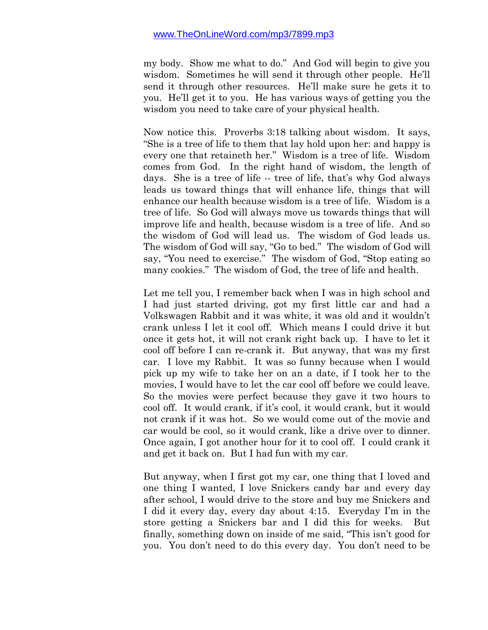my body. Show me what to do." And God will begin to give you wisdom. Sometimes he will send it through other people. He'll send it through other resources. He'll make sure he gets it to you. He'll get it to you. He has various ways of getting you the wisdom you need to take care of your physical health.

Now notice this. Proverbs 3:18 talking about wisdom. It says, "She is a tree of life to them that lay hold upon her: and happy is every one that retaineth her." Wisdom is a tree of life. Wisdom comes from God. In the right hand of wisdom, the length of days. She is a tree of life -- tree of life, that's why God always leads us toward things that will enhance life, things that will enhance our health because wisdom is a tree of life. Wisdom is a tree of life. So God will always move us towards things that will improve life and health, because wisdom is a tree of life. And so the wisdom of God will lead us. The wisdom of God leads us. The wisdom of God will say, "Go to bed." The wisdom of God will say, "You need to exercise." The wisdom of God, "Stop eating so many cookies." The wisdom of God, the tree of life and health.

Let me tell you, I remember back when I was in high school and I had just started driving, got my first little car and had a Volkswagen Rabbit and it was white, it was old and it wouldn't crank unless I let it cool off. Which means I could drive it but once it gets hot, it will not crank right back up. I have to let it cool off before I can re-crank it. But anyway, that was my first car. I love my Rabbit. It was so funny because when I would pick up my wife to take her on an a date, if I took her to the movies, I would have to let the car cool off before we could leave. So the movies were perfect because they gave it two hours to cool off. It would crank, if it's cool, it would crank, but it would not crank if it was hot. So we would come out of the movie and car would be cool, so it would crank, like a drive over to dinner. Once again, I got another hour for it to cool off. I could crank it and get it back on. But I had fun with my car.

But anyway, when I first got my car, one thing that I loved and one thing I wanted, I love Snickers candy bar and every day after school, I would drive to the store and buy me Snickers and I did it every day, every day about 4:15. Everyday I'm in the store getting a Snickers bar and I did this for weeks. But finally, something down on inside of me said, "This isn't good for you. You don't need to do this every day. You don't need to be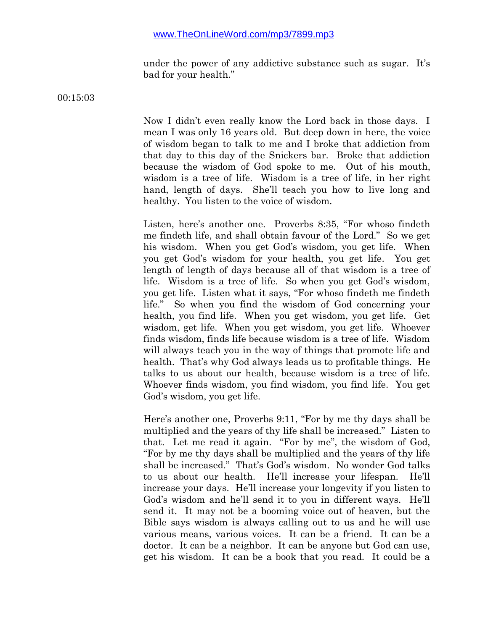under the power of any addictive substance such as sugar. It's bad for your health."

00:15:03

Now I didn't even really know the Lord back in those days. I mean I was only 16 years old. But deep down in here, the voice of wisdom began to talk to me and I broke that addiction from that day to this day of the Snickers bar. Broke that addiction because the wisdom of God spoke to me. Out of his mouth, wisdom is a tree of life. Wisdom is a tree of life, in her right hand, length of days. She'll teach you how to live long and healthy. You listen to the voice of wisdom.

Listen, here's another one. Proverbs 8:35, "For whoso findeth me findeth life, and shall obtain favour of the Lord." So we get his wisdom. When you get God's wisdom, you get life. When you get God's wisdom for your health, you get life. You get length of length of days because all of that wisdom is a tree of life. Wisdom is a tree of life. So when you get God's wisdom, you get life. Listen what it says, "For whoso findeth me findeth life." So when you find the wisdom of God concerning your health, you find life. When you get wisdom, you get life. Get wisdom, get life. When you get wisdom, you get life. Whoever finds wisdom, finds life because wisdom is a tree of life. Wisdom will always teach you in the way of things that promote life and health. That's why God always leads us to profitable things. He talks to us about our health, because wisdom is a tree of life. Whoever finds wisdom, you find wisdom, you find life. You get God's wisdom, you get life.

Here's another one, Proverbs 9:11, "For by me thy days shall be multiplied and the years of thy life shall be increased." Listen to that. Let me read it again. "For by me", the wisdom of God, "For by me thy days shall be multiplied and the years of thy life shall be increased." That's God's wisdom. No wonder God talks to us about our health. He'll increase your lifespan. He'll increase your days. He'll increase your longevity if you listen to God's wisdom and he'll send it to you in different ways. He'll send it. It may not be a booming voice out of heaven, but the Bible says wisdom is always calling out to us and he will use various means, various voices. It can be a friend. It can be a doctor. It can be a neighbor. It can be anyone but God can use, get his wisdom. It can be a book that you read. It could be a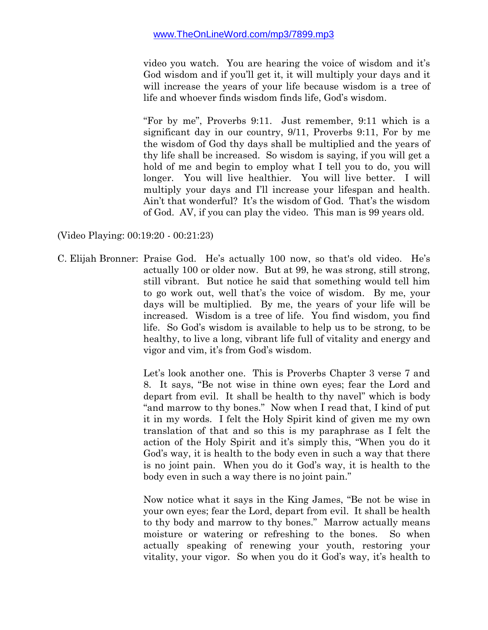video you watch. You are hearing the voice of wisdom and it's God wisdom and if you'll get it, it will multiply your days and it will increase the years of your life because wisdom is a tree of life and whoever finds wisdom finds life, God's wisdom.

"For by me", Proverbs 9:11. Just remember, 9:11 which is a significant day in our country, 9/11, Proverbs 9:11, For by me the wisdom of God thy days shall be multiplied and the years of thy life shall be increased. So wisdom is saying, if you will get a hold of me and begin to employ what I tell you to do, you will longer. You will live healthier. You will live better. I will multiply your days and I'll increase your lifespan and health. Ain't that wonderful? It's the wisdom of God. That's the wisdom of God. AV, if you can play the video. This man is 99 years old.

(Video Playing: 00:19:20 - 00:21:23)

C. Elijah Bronner: Praise God. He's actually 100 now, so that's old video. He's actually 100 or older now. But at 99, he was strong, still strong, still vibrant. But notice he said that something would tell him to go work out, well that's the voice of wisdom. By me, your days will be multiplied. By me, the years of your life will be increased. Wisdom is a tree of life. You find wisdom, you find life. So God's wisdom is available to help us to be strong, to be healthy, to live a long, vibrant life full of vitality and energy and vigor and vim, it's from God's wisdom.

> Let's look another one. This is Proverbs Chapter 3 verse 7 and 8. It says, "Be not wise in thine own eyes; fear the Lord and depart from evil. It shall be health to thy navel" which is body "and marrow to thy bones." Now when I read that, I kind of put it in my words. I felt the Holy Spirit kind of given me my own translation of that and so this is my paraphrase as I felt the action of the Holy Spirit and it's simply this, "When you do it God's way, it is health to the body even in such a way that there is no joint pain. When you do it God's way, it is health to the body even in such a way there is no joint pain."

> Now notice what it says in the King James, "Be not be wise in your own eyes; fear the Lord, depart from evil. It shall be health to thy body and marrow to thy bones." Marrow actually means moisture or watering or refreshing to the bones. So when actually speaking of renewing your youth, restoring your vitality, your vigor. So when you do it God's way, it's health to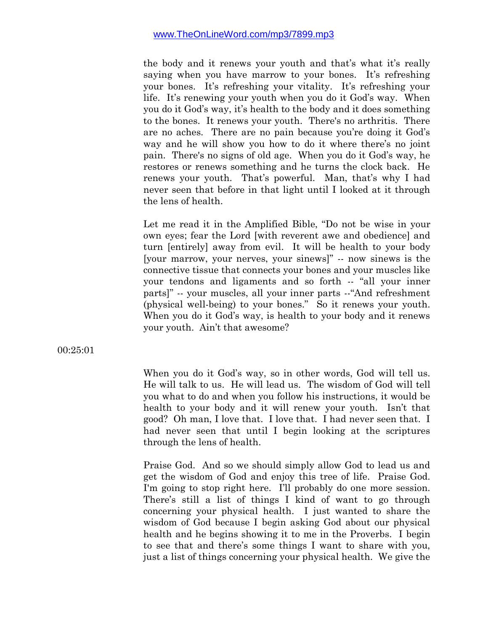the body and it renews your youth and that's what it's really saying when you have marrow to your bones. It's refreshing your bones. It's refreshing your vitality. It's refreshing your life. It's renewing your youth when you do it God's way. When you do it God's way, it's health to the body and it does something to the bones. It renews your youth. There's no arthritis. There are no aches. There are no pain because you're doing it God's way and he will show you how to do it where there's no joint pain. There's no signs of old age. When you do it God's way, he restores or renews something and he turns the clock back. He renews your youth. That's powerful. Man, that's why I had never seen that before in that light until I looked at it through the lens of health.

Let me read it in the Amplified Bible, "Do not be wise in your own eyes; fear the Lord [with reverent awe and obedience] and turn [entirely] away from evil. It will be health to your body [your marrow, your nerves, your sinews]" -- now sinews is the connective tissue that connects your bones and your muscles like your tendons and ligaments and so forth -- "all your inner parts]" -- your muscles, all your inner parts --"And refreshment (physical well-being) to your bones." So it renews your youth. When you do it God's way, is health to your body and it renews your youth. Ain't that awesome?

00:25:01

When you do it God's way, so in other words, God will tell us. He will talk to us. He will lead us. The wisdom of God will tell you what to do and when you follow his instructions, it would be health to your body and it will renew your youth. Isn't that good? Oh man, I love that. I love that. I had never seen that. I had never seen that until I begin looking at the scriptures through the lens of health.

Praise God. And so we should simply allow God to lead us and get the wisdom of God and enjoy this tree of life. Praise God. I'm going to stop right here. I'll probably do one more session. There's still a list of things I kind of want to go through concerning your physical health. I just wanted to share the wisdom of God because I begin asking God about our physical health and he begins showing it to me in the Proverbs. I begin to see that and there's some things I want to share with you, just a list of things concerning your physical health. We give the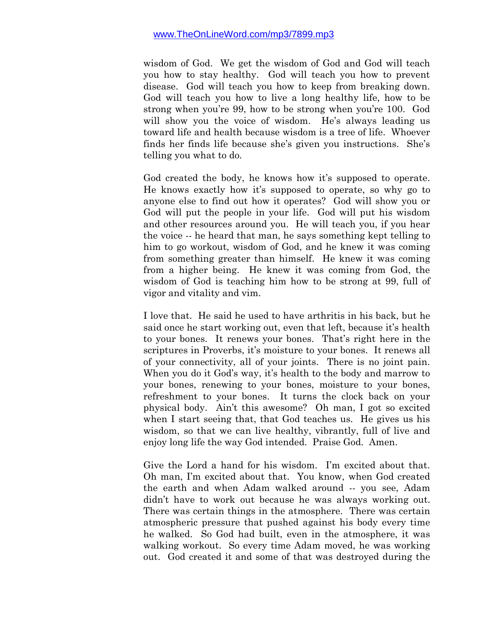wisdom of God. We get the wisdom of God and God will teach you how to stay healthy. God will teach you how to prevent disease. God will teach you how to keep from breaking down. God will teach you how to live a long healthy life, how to be strong when you're 99, how to be strong when you're 100. God will show you the voice of wisdom. He's always leading us toward life and health because wisdom is a tree of life. Whoever finds her finds life because she's given you instructions. She's telling you what to do.

God created the body, he knows how it's supposed to operate. He knows exactly how it's supposed to operate, so why go to anyone else to find out how it operates? God will show you or God will put the people in your life. God will put his wisdom and other resources around you. He will teach you, if you hear the voice -- he heard that man, he says something kept telling to him to go workout, wisdom of God, and he knew it was coming from something greater than himself. He knew it was coming from a higher being. He knew it was coming from God, the wisdom of God is teaching him how to be strong at 99, full of vigor and vitality and vim.

I love that. He said he used to have arthritis in his back, but he said once he start working out, even that left, because it's health to your bones. It renews your bones. That's right here in the scriptures in Proverbs, it's moisture to your bones. It renews all of your connectivity, all of your joints. There is no joint pain. When you do it God's way, it's health to the body and marrow to your bones, renewing to your bones, moisture to your bones, refreshment to your bones. It turns the clock back on your physical body. Ain't this awesome? Oh man, I got so excited when I start seeing that, that God teaches us. He gives us his wisdom, so that we can live healthy, vibrantly, full of live and enjoy long life the way God intended. Praise God. Amen.

Give the Lord a hand for his wisdom. I'm excited about that. Oh man, I'm excited about that. You know, when God created the earth and when Adam walked around -- you see, Adam didn't have to work out because he was always working out. There was certain things in the atmosphere. There was certain atmospheric pressure that pushed against his body every time he walked. So God had built, even in the atmosphere, it was walking workout. So every time Adam moved, he was working out. God created it and some of that was destroyed during the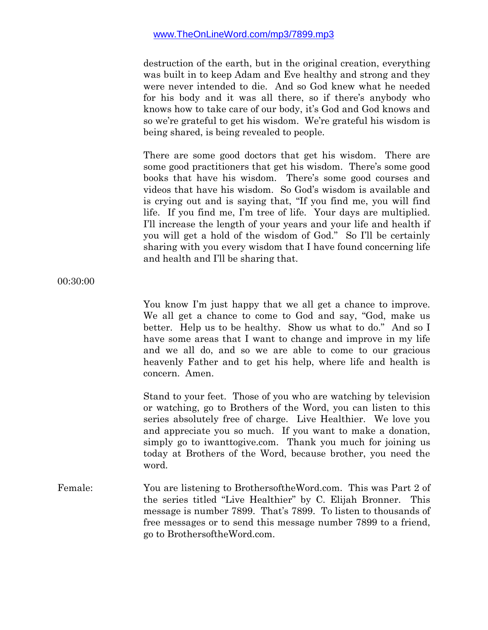destruction of the earth, but in the original creation, everything was built in to keep Adam and Eve healthy and strong and they were never intended to die. And so God knew what he needed for his body and it was all there, so if there's anybody who knows how to take care of our body, it's God and God knows and so we're grateful to get his wisdom. We're grateful his wisdom is being shared, is being revealed to people.

There are some good doctors that get his wisdom. There are some good practitioners that get his wisdom. There's some good books that have his wisdom. There's some good courses and videos that have his wisdom. So God's wisdom is available and is crying out and is saying that, "If you find me, you will find life. If you find me, I'm tree of life. Your days are multiplied. I'll increase the length of your years and your life and health if you will get a hold of the wisdom of God." So I'll be certainly sharing with you every wisdom that I have found concerning life and health and I'll be sharing that.

00:30:00

You know I'm just happy that we all get a chance to improve. We all get a chance to come to God and say, "God, make us better. Help us to be healthy. Show us what to do." And so I have some areas that I want to change and improve in my life and we all do, and so we are able to come to our gracious heavenly Father and to get his help, where life and health is concern. Amen.

Stand to your feet. Those of you who are watching by television or watching, go to Brothers of the Word, you can listen to this series absolutely free of charge. Live Healthier. We love you and appreciate you so much. If you want to make a donation, simply go to iwanttogive.com. Thank you much for joining us today at Brothers of the Word, because brother, you need the word.

Female: You are listening to BrothersoftheWord.com. This was Part 2 of the series titled "Live Healthier" by C. Elijah Bronner. This message is number 7899. That's 7899. To listen to thousands of free messages or to send this message number 7899 to a friend, go to BrothersoftheWord.com.